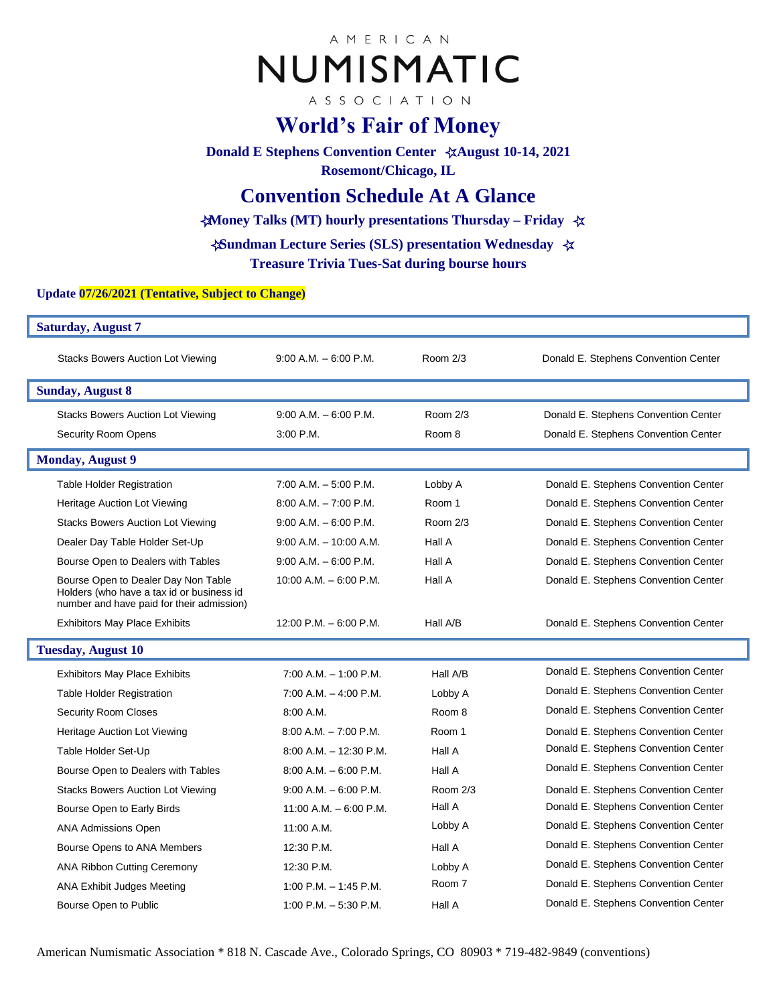# AMERICAN NUMISMATIC

ASSOCIATION

# **World's Fair of Money**

**Donald E Stephens Convention Center** ☆**August 10-14, 2021 Rosemont/Chicago, IL**

## **Convention Schedule At A Glance**

**Money Talks** ☆**(MT) hourly presentations Thursday – Friday** ☆

**Sundman Lecture Series (SLS) presentation Wednesday** ☆ ☆**Treasure Trivia Tues-Sat during bourse hours**

#### **Update 07/26/2021 (Tentative, Subject to Change)**

| <b>Saturday, August 7</b>                                                                                                     |                           |            |                                      |  |
|-------------------------------------------------------------------------------------------------------------------------------|---------------------------|------------|--------------------------------------|--|
| <b>Stacks Bowers Auction Lot Viewing</b>                                                                                      | $9:00$ A.M. $-6:00$ P.M.  | Room 2/3   | Donald E. Stephens Convention Center |  |
| <b>Sunday, August 8</b>                                                                                                       |                           |            |                                      |  |
| <b>Stacks Bowers Auction Lot Viewing</b>                                                                                      | $9:00$ A.M. $-6:00$ P.M.  | Room 2/3   | Donald E. Stephens Convention Center |  |
| <b>Security Room Opens</b>                                                                                                    | 3:00 P.M.                 | Room 8     | Donald E. Stephens Convention Center |  |
| <b>Monday, August 9</b>                                                                                                       |                           |            |                                      |  |
| <b>Table Holder Registration</b>                                                                                              | $7:00$ A.M. $-5:00$ P.M.  | Lobby A    | Donald E. Stephens Convention Center |  |
| Heritage Auction Lot Viewing                                                                                                  | $8:00$ A.M. $-7:00$ P.M.  | Room 1     | Donald E. Stephens Convention Center |  |
| <b>Stacks Bowers Auction Lot Viewing</b>                                                                                      | $9:00$ A.M. $-6:00$ P.M.  | Room 2/3   | Donald E. Stephens Convention Center |  |
| Dealer Day Table Holder Set-Up                                                                                                | $9:00$ A.M. $-10:00$ A.M. | Hall A     | Donald E. Stephens Convention Center |  |
| Bourse Open to Dealers with Tables                                                                                            | $9:00$ A.M. $-6:00$ P.M.  | Hall A     | Donald E. Stephens Convention Center |  |
| Bourse Open to Dealer Day Non Table<br>Holders (who have a tax id or business id<br>number and have paid for their admission) | 10:00 A.M. $-6:00$ P.M.   | Hall A     | Donald E. Stephens Convention Center |  |
| <b>Exhibitors May Place Exhibits</b>                                                                                          | 12:00 P.M. $-6:00$ P.M.   | Hall A/B   | Donald E. Stephens Convention Center |  |
| <b>Tuesday, August 10</b>                                                                                                     |                           |            |                                      |  |
| <b>Exhibitors May Place Exhibits</b>                                                                                          | $7:00$ A.M. $-1:00$ P.M.  | Hall A/B   | Donald E. Stephens Convention Center |  |
| <b>Table Holder Registration</b>                                                                                              | $7:00$ A.M. $-$ 4:00 P.M. | Lobby A    | Donald E. Stephens Convention Center |  |
| <b>Security Room Closes</b>                                                                                                   | 8:00 A.M.                 | Room 8     | Donald E. Stephens Convention Center |  |
| Heritage Auction Lot Viewing                                                                                                  | $8:00$ A.M. $-7:00$ P.M.  | Room 1     | Donald E. Stephens Convention Center |  |
| Table Holder Set-Up                                                                                                           | $8:00$ A.M. $-12:30$ P.M. | Hall A     | Donald E. Stephens Convention Center |  |
| Bourse Open to Dealers with Tables                                                                                            | $8:00$ A.M. $-6:00$ P.M.  | Hall A     | Donald E. Stephens Convention Center |  |
| <b>Stacks Bowers Auction Lot Viewing</b>                                                                                      | $9:00$ A.M. $-6:00$ P.M.  | Room $2/3$ | Donald E. Stephens Convention Center |  |
| Bourse Open to Early Birds                                                                                                    | 11:00 A.M. $-$ 6:00 P.M.  | Hall A     | Donald E. Stephens Convention Center |  |
| <b>ANA Admissions Open</b>                                                                                                    | $11:00$ A.M.              | Lobby A    | Donald E. Stephens Convention Center |  |
| Bourse Opens to ANA Members                                                                                                   | 12:30 P.M.                | Hall A     | Donald E. Stephens Convention Center |  |
| <b>ANA Ribbon Cutting Ceremony</b>                                                                                            | 12:30 P.M.                | Lobby A    | Donald E. Stephens Convention Center |  |
| ANA Exhibit Judges Meeting                                                                                                    | $1:00$ P.M. $-1:45$ P.M.  | Room 7     | Donald E. Stephens Convention Center |  |
| Bourse Open to Public                                                                                                         | 1:00 P.M. $-5:30$ P.M.    | Hall A     | Donald E. Stephens Convention Center |  |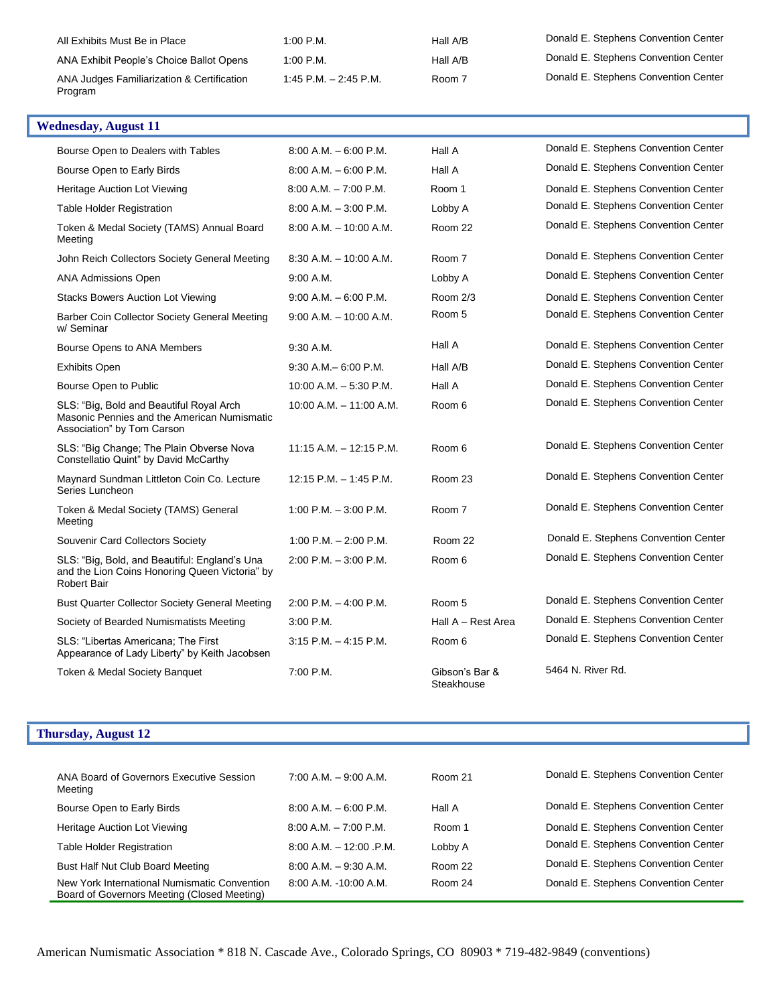| All Exhibits Must Be in Place                         | $1:00$ P.M.             | Hall A/B | Donald E. Stephens Convention Center |
|-------------------------------------------------------|-------------------------|----------|--------------------------------------|
| ANA Exhibit People's Choice Ballot Opens              | 1:00 P.M.               | Hall A/B | Donald E. Stephens Convention Center |
| ANA Judges Familiarization & Certification<br>Program | 1:45 P.M. $-$ 2:45 P.M. | Room 7   | Donald E. Stephens Convention Center |

| <b>Wednesday, August 11</b>                                                                                           |                            |                              |                                      |
|-----------------------------------------------------------------------------------------------------------------------|----------------------------|------------------------------|--------------------------------------|
| Bourse Open to Dealers with Tables                                                                                    | $8:00$ A.M. $-6:00$ P.M.   | Hall A                       | Donald E. Stephens Convention Center |
| Bourse Open to Early Birds                                                                                            | $8:00$ A.M. $-6:00$ P.M.   | Hall A                       | Donald E. Stephens Convention Center |
| Heritage Auction Lot Viewing                                                                                          | $8:00$ A.M. $-7:00$ P.M.   | Room 1                       | Donald E. Stephens Convention Center |
| <b>Table Holder Registration</b>                                                                                      | $8:00$ A.M. $-3:00$ P.M.   | Lobby A                      | Donald E. Stephens Convention Center |
| Token & Medal Society (TAMS) Annual Board<br>Meeting                                                                  | $8:00$ A.M. $-10:00$ A.M.  | Room 22                      | Donald E. Stephens Convention Center |
| John Reich Collectors Society General Meeting                                                                         | $8:30$ A.M. $-10:00$ A.M.  | Room 7                       | Donald E. Stephens Convention Center |
| <b>ANA Admissions Open</b>                                                                                            | 9:00 A.M.                  | Lobby A                      | Donald E. Stephens Convention Center |
| <b>Stacks Bowers Auction Lot Viewing</b>                                                                              | $9:00$ A.M. $-6:00$ P.M.   | Room 2/3                     | Donald E. Stephens Convention Center |
| Barber Coin Collector Society General Meeting<br>w/ Seminar                                                           | $9:00$ A.M. $-10:00$ A.M.  | Room 5                       | Donald E. Stephens Convention Center |
| Bourse Opens to ANA Members                                                                                           | $9:30$ A.M.                | Hall A                       | Donald E. Stephens Convention Center |
| <b>Exhibits Open</b>                                                                                                  | $9:30$ A.M. $-6:00$ P.M.   | Hall A/B                     | Donald E. Stephens Convention Center |
| Bourse Open to Public                                                                                                 | $10:00$ A.M. $-5:30$ P.M.  | Hall A                       | Donald E. Stephens Convention Center |
| SLS: "Big, Bold and Beautiful Royal Arch<br>Masonic Pennies and the American Numismatic<br>Association" by Tom Carson | $10:00$ A.M. $-11:00$ A.M. | Room 6                       | Donald E. Stephens Convention Center |
| SLS: "Big Change; The Plain Obverse Nova<br>Constellatio Quint" by David McCarthy                                     | $11:15$ A.M. $-12:15$ P.M. | Room 6                       | Donald E. Stephens Convention Center |
| Maynard Sundman Littleton Coin Co. Lecture<br>Series Luncheon                                                         | $12:15$ P.M. $-1:45$ P.M.  | Room 23                      | Donald E. Stephens Convention Center |
| Token & Medal Society (TAMS) General<br>Meeting                                                                       | 1:00 P.M. $-$ 3:00 P.M.    | Room 7                       | Donald E. Stephens Convention Center |
| Souvenir Card Collectors Society                                                                                      | 1:00 P.M. $- 2:00$ P.M.    | Room 22                      | Donald E. Stephens Convention Center |
| SLS: "Big, Bold, and Beautiful: England's Una<br>and the Lion Coins Honoring Queen Victoria" by<br><b>Robert Bair</b> | $2:00$ P.M. $-3:00$ P.M.   | Room 6                       | Donald E. Stephens Convention Center |
| <b>Bust Quarter Collector Society General Meeting</b>                                                                 | $2:00$ P.M. $-$ 4:00 P.M.  | Room 5                       | Donald E. Stephens Convention Center |
| Society of Bearded Numismatists Meeting                                                                               | 3:00 P.M.                  | Hall A - Rest Area           | Donald E. Stephens Convention Center |
| SLS: "Libertas Americana; The First<br>Appearance of Lady Liberty" by Keith Jacobsen                                  | $3:15$ P.M. $-4:15$ P.M.   | Room 6                       | Donald E. Stephens Convention Center |
| Token & Medal Society Banquet                                                                                         | 7:00 P.M.                  | Gibson's Bar &<br>Steakhouse | 5464 N. River Rd.                    |

## **Thursday, August 12**

| ANA Board of Governors Executive Session<br>Meeting                                         | $7:00$ A.M. $-9:00$ A.M.   | Room 21 | Donald E. Stephens Convention Center |
|---------------------------------------------------------------------------------------------|----------------------------|---------|--------------------------------------|
| Bourse Open to Early Birds                                                                  | $8:00$ A.M. $-6:00$ P.M.   | Hall A  | Donald E. Stephens Convention Center |
| Heritage Auction Lot Viewing                                                                | $8:00$ A.M. $-7:00$ P.M.   | Room 1  | Donald E. Stephens Convention Center |
| Table Holder Registration                                                                   | $8:00$ A.M. $-12:00$ .P.M. | Lobby A | Donald E. Stephens Convention Center |
| Bust Half Nut Club Board Meeting                                                            | $8:00$ A.M. $-9:30$ A.M.   | Room 22 | Donald E. Stephens Convention Center |
| New York International Numismatic Convention<br>Board of Governors Meeting (Closed Meeting) | 8:00 A.M. -10:00 A.M.      | Room 24 | Donald E. Stephens Convention Center |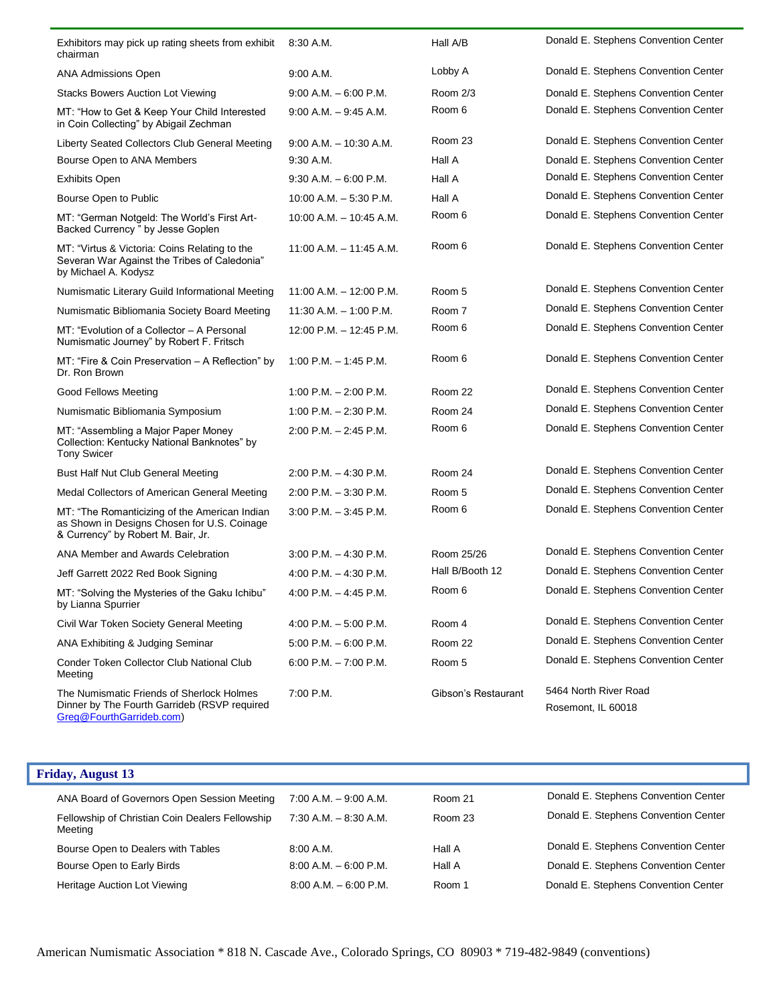| Exhibitors may pick up rating sheets from exhibit<br>chairman                                                                      | $8:30$ A.M.                 | Hall A/B            | Donald E. Stephens Convention Center        |
|------------------------------------------------------------------------------------------------------------------------------------|-----------------------------|---------------------|---------------------------------------------|
| ANA Admissions Open                                                                                                                | 9:00 A.M.                   | Lobby A             | Donald E. Stephens Convention Center        |
| <b>Stacks Bowers Auction Lot Viewing</b>                                                                                           | $9:00$ A.M. $-6:00$ P.M.    | Room 2/3            | Donald E. Stephens Convention Center        |
| MT: "How to Get & Keep Your Child Interested<br>in Coin Collecting" by Abigail Zechman                                             | $9:00$ A.M. $-9:45$ A.M.    | Room 6              | Donald E. Stephens Convention Center        |
| Liberty Seated Collectors Club General Meeting                                                                                     | $9:00$ A.M. $-10:30$ A.M.   | Room 23             | Donald E. Stephens Convention Center        |
| Bourse Open to ANA Members                                                                                                         | $9:30$ A.M.                 | Hall A              | Donald E. Stephens Convention Center        |
| <b>Exhibits Open</b>                                                                                                               | $9:30$ A.M. $-6:00$ P.M.    | Hall A              | Donald E. Stephens Convention Center        |
| Bourse Open to Public                                                                                                              | $10:00$ A.M. $-5:30$ P.M.   | Hall A              | Donald E. Stephens Convention Center        |
| MT: "German Notgeld: The World's First Art-<br>Backed Currency " by Jesse Goplen                                                   | $10:00$ A.M. $- 10:45$ A.M. | Room 6              | Donald E. Stephens Convention Center        |
| MT: "Virtus & Victoria: Coins Relating to the<br>Severan War Against the Tribes of Caledonia"<br>by Michael A. Kodysz              | $11:00$ A.M. $-11:45$ A.M.  | Room 6              | Donald E. Stephens Convention Center        |
| Numismatic Literary Guild Informational Meeting                                                                                    | 11:00 A.M. $-$ 12:00 P.M.   | Room 5              | Donald E. Stephens Convention Center        |
| Numismatic Bibliomania Society Board Meeting                                                                                       | $11:30$ A.M. $-1:00$ P.M.   | Room 7              | Donald E. Stephens Convention Center        |
| MT: "Evolution of a Collector - A Personal<br>Numismatic Journey" by Robert F. Fritsch                                             | 12:00 P.M. - 12:45 P.M.     | Room 6              | Donald E. Stephens Convention Center        |
| MT: "Fire & Coin Preservation - A Reflection" by<br>Dr. Ron Brown                                                                  | $1:00$ P.M. $-1:45$ P.M.    | Room 6              | Donald E. Stephens Convention Center        |
| Good Fellows Meeting                                                                                                               | 1:00 P.M. $-$ 2:00 P.M.     | Room 22             | Donald E. Stephens Convention Center        |
| Numismatic Bibliomania Symposium                                                                                                   | 1:00 P.M. $-$ 2:30 P.M.     | Room 24             | Donald E. Stephens Convention Center        |
| MT: "Assembling a Major Paper Money<br>Collection: Kentucky National Banknotes" by<br><b>Tony Swicer</b>                           | $2:00$ P.M. $- 2:45$ P.M.   | Room 6              | Donald E. Stephens Convention Center        |
| Bust Half Nut Club General Meeting                                                                                                 | $2:00$ P.M. $-4:30$ P.M.    | Room 24             | Donald E. Stephens Convention Center        |
| Medal Collectors of American General Meeting                                                                                       | $2:00$ P.M. $-3:30$ P.M.    | Room 5              | Donald E. Stephens Convention Center        |
| MT: "The Romanticizing of the American Indian<br>as Shown in Designs Chosen for U.S. Coinage<br>& Currency" by Robert M. Bair, Jr. | $3:00$ P.M. $-3:45$ P.M.    | Room 6              | Donald E. Stephens Convention Center        |
| ANA Member and Awards Celebration                                                                                                  | $3:00$ P.M. $-4:30$ P.M.    | Room 25/26          | Donald E. Stephens Convention Center        |
| Jeff Garrett 2022 Red Book Signing                                                                                                 | 4:00 P.M. $-$ 4:30 P.M.     | Hall B/Booth 12     | Donald E. Stephens Convention Center        |
| MT: "Solving the Mysteries of the Gaku Ichibu"<br>by Lianna Spurrier                                                               | 4:00 P.M. $-$ 4:45 P.M.     | Room 6              | Donald E. Stephens Convention Center        |
| Civil War Token Society General Meeting                                                                                            | 4:00 P.M. $-5:00$ P.M.      | Room 4              | Donald E. Stephens Convention Center        |
| ANA Exhibiting & Judging Seminar                                                                                                   | 5:00 P.M. $-6:00$ P.M.      | Room 22             | Donald E. Stephens Convention Center        |
| Conder Token Collector Club National Club<br>Meeting                                                                               | $6:00$ P.M. $-7:00$ P.M.    | Room 5              | Donald E. Stephens Convention Center        |
| The Numismatic Friends of Sherlock Holmes<br>Dinner by The Fourth Garrideb (RSVP required<br>Greg@FourthGarrideb.com)              | 7:00 P.M.                   | Gibson's Restaurant | 5464 North River Road<br>Rosemont, IL 60018 |

| <b>Friday, August 13</b> |  |
|--------------------------|--|
|--------------------------|--|

| ANA Board of Governors Open Session Meeting<br>Fellowship of Christian Coin Dealers Fellowship<br>Meeting | $7:00$ A.M. $-9:00$ A.M.<br>$7:30$ A.M. $-8:30$ A.M. | Room 21<br>Room 23 | Donald E. Stephens Convention Center<br>Donald E. Stephens Convention Center |
|-----------------------------------------------------------------------------------------------------------|------------------------------------------------------|--------------------|------------------------------------------------------------------------------|
| Bourse Open to Dealers with Tables                                                                        | 8:00 A.M.                                            | Hall A             | Donald E. Stephens Convention Center                                         |
| Bourse Open to Early Birds                                                                                | $8:00$ A.M. $-6:00$ P.M.                             | Hall A             | Donald E. Stephens Convention Center                                         |
| Heritage Auction Lot Viewing                                                                              | $8:00$ A.M. $-6:00$ P.M.                             | Room 1             | Donald E. Stephens Convention Center                                         |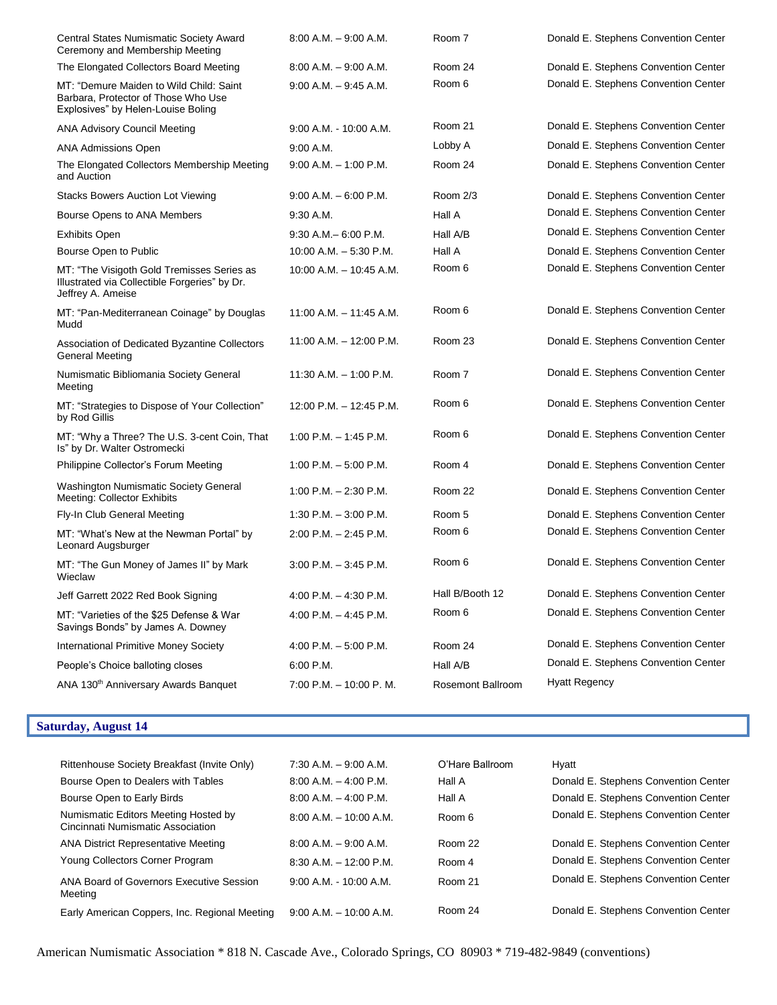| Central States Numismatic Society Award<br>Ceremony and Membership Meeting                                           | $8:00$ A.M. $-9:00$ A.M.   | Room 7                   | Donald E. Stephens Convention Center |
|----------------------------------------------------------------------------------------------------------------------|----------------------------|--------------------------|--------------------------------------|
| The Elongated Collectors Board Meeting                                                                               | $8.00$ A.M. $-9.00$ A.M.   | Room 24                  | Donald E. Stephens Convention Center |
| MT: "Demure Maiden to Wild Child: Saint<br>Barbara, Protector of Those Who Use<br>Explosives" by Helen-Louise Boling | $9:00$ A.M. $-9:45$ A.M.   | Room 6                   | Donald E. Stephens Convention Center |
| <b>ANA Advisory Council Meeting</b>                                                                                  | 9:00 A.M. - 10:00 A.M.     | Room 21                  | Donald E. Stephens Convention Center |
| <b>ANA Admissions Open</b>                                                                                           | 9:00 A.M.                  | Lobby A                  | Donald E. Stephens Convention Center |
| The Elongated Collectors Membership Meeting<br>and Auction                                                           | $9:00$ A.M. $-1:00$ P.M.   | Room 24                  | Donald E. Stephens Convention Center |
| Stacks Bowers Auction Lot Viewing                                                                                    | $9:00$ A.M. $-6:00$ P.M.   | Room 2/3                 | Donald E. Stephens Convention Center |
| Bourse Opens to ANA Members                                                                                          | 9:30 A.M.                  | Hall A                   | Donald E. Stephens Convention Center |
| <b>Exhibits Open</b>                                                                                                 | $9:30$ A.M. $-6:00$ P.M.   | Hall A/B                 | Donald E. Stephens Convention Center |
| Bourse Open to Public                                                                                                | 10:00 A.M. $-$ 5:30 P.M.   | Hall A                   | Donald E. Stephens Convention Center |
| MT: "The Visigoth Gold Tremisses Series as<br>Illustrated via Collectible Forgeries" by Dr.<br>Jeffrey A. Ameise     | $10:00$ A.M. $-10:45$ A.M. | Room 6                   | Donald E. Stephens Convention Center |
| MT: "Pan-Mediterranean Coinage" by Douglas<br>Mudd                                                                   | 11:00 A.M. - 11:45 A.M.    | Room 6                   | Donald E. Stephens Convention Center |
| Association of Dedicated Byzantine Collectors<br>General Meeting                                                     | $11:00$ A.M. $-12:00$ P.M. | Room 23                  | Donald E. Stephens Convention Center |
| Numismatic Bibliomania Society General<br>Meeting                                                                    | 11:30 A.M. - 1:00 P.M.     | Room 7                   | Donald E. Stephens Convention Center |
| MT: "Strategies to Dispose of Your Collection"<br>by Rod Gillis                                                      | 12:00 P.M. - 12:45 P.M.    | Room 6                   | Donald E. Stephens Convention Center |
| MT: "Why a Three? The U.S. 3-cent Coin, That<br>Is" by Dr. Walter Ostromecki                                         | $1:00$ P.M. $-1:45$ P.M.   | Room 6                   | Donald E. Stephens Convention Center |
| Philippine Collector's Forum Meeting                                                                                 | 1:00 P.M. $-5:00$ P.M.     | Room 4                   | Donald E. Stephens Convention Center |
| Washington Numismatic Society General<br>Meeting: Collector Exhibits                                                 | 1:00 P.M. $-2:30$ P.M.     | Room 22                  | Donald E. Stephens Convention Center |
| Fly-In Club General Meeting                                                                                          | 1:30 P.M. $-$ 3:00 P.M.    | Room 5                   | Donald E. Stephens Convention Center |
| MT: "What's New at the Newman Portal" by<br>Leonard Augsburger                                                       | 2:00 P.M. - 2:45 P.M.      | Room 6                   | Donald E. Stephens Convention Center |
| MT: "The Gun Money of James II" by Mark<br>Wieclaw                                                                   | $3:00$ P.M. $-3:45$ P.M.   | Room 6                   | Donald E. Stephens Convention Center |
| Jeff Garrett 2022 Red Book Signing                                                                                   | 4:00 P.M. $-$ 4:30 P.M.    | Hall B/Booth 12          | Donald E. Stephens Convention Center |
| MT: "Varieties of the \$25 Defense & War<br>Savings Bonds" by James A. Downey                                        | 4:00 P.M. $-$ 4:45 P.M.    | Room 6                   | Donald E. Stephens Convention Center |
| <b>International Primitive Money Society</b>                                                                         | 4:00 P.M. $-5:00$ P.M.     | Room 24                  | Donald E. Stephens Convention Center |
| People's Choice balloting closes                                                                                     | 6:00 P.M.                  | Hall A/B                 | Donald E. Stephens Convention Center |
| ANA 130 <sup>th</sup> Anniversary Awards Banquet                                                                     | 7:00 P.M. - 10:00 P.M.     | <b>Rosemont Ballroom</b> | <b>Hyatt Regency</b>                 |
|                                                                                                                      |                            |                          |                                      |

## **Saturday, August 14**

| Rittenhouse Society Breakfast (Invite Only)                               | $7:30$ A.M. $-9:00$ A.M.  | O'Hare Ballroom | Hyatt                                |
|---------------------------------------------------------------------------|---------------------------|-----------------|--------------------------------------|
| Bourse Open to Dealers with Tables                                        | $8:00$ A.M. $-4:00$ P.M.  | Hall A          | Donald E. Stephens Convention Center |
| Bourse Open to Early Birds                                                | $8:00$ A.M. $-4:00$ P.M.  | Hall A          | Donald E. Stephens Convention Center |
| Numismatic Editors Meeting Hosted by<br>Cincinnati Numismatic Association | $8:00$ A.M. $-10:00$ A.M. | Room 6          | Donald E. Stephens Convention Center |
| <b>ANA District Representative Meeting</b>                                | $8:00$ A.M. $-9:00$ A.M.  | Room 22         | Donald E. Stephens Convention Center |
| Young Collectors Corner Program                                           | $8:30$ A.M. $-12:00$ P.M. | Room 4          | Donald E. Stephens Convention Center |
| ANA Board of Governors Executive Session<br>Meeting                       | $9:00$ A.M. - 10:00 A.M.  | Room 21         | Donald E. Stephens Convention Center |
| Early American Coppers, Inc. Regional Meeting                             | $9:00$ A.M. $-10:00$ A.M. | Room 24         | Donald E. Stephens Convention Center |